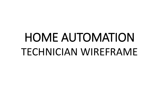# HOME AUTOMATION TECHNICIAN WIREFRAME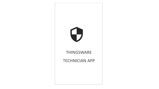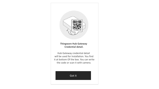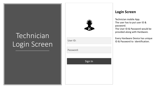### **Technician** Login Screen



User ID:

Password:

Sign In

#### **Login Screen**

Technician mobile App. The user has to put user ID & password. The User ID & Password would be provided along with Hardware.

Every Hardware Device has unique ID & Password to identification.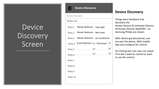## Device Discovery Screen

#### **Device Discovery**

Device Discovery

Relay 8

Relay 9

Relay 10

**Relay List** Master Bedroom Tube light Relay 1 Master Bedroom Bed Lamp Relay 2 Master Bedroom Air Conditioner Relay 3 Relay 4 Guest Bedroom <u>1nermoset</u>  $\checkmark$ Relay 5  $\checkmark$ Relay 6 -Relay 7

### **Device Discovery**

Things ware Hardware hub discovery the Known Devices & Unknown Devices. All Known Devices like(SONY , LG, Samsung Philips are shown.

After device got discovered, user can pair the device, With mobile App and configure for control.

On clicking pair icon user can unpair if he don't want to control or want to use the control.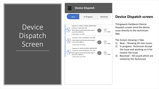## Device Dispatch **Screen**

| <b>New</b>                                  | In Progress                                                                                                        | Resolved |
|---------------------------------------------|--------------------------------------------------------------------------------------------------------------------|----------|
| more then 2000 ms<br>21 Mar 2018   10:13 PM | Dispatch Id: 34654_637839_6839287822<br>Customer: Quentalla_001<br>Weak Signal and Broadcasting range is           | 5 Miles  |
| more then 2000 ms<br>21 Mar 2018   10:13 PM | Customer: www.Thirdeyeinc.com_001<br>Weak Signal and Broadcasting range is                                         |          |
| more then 2000 ms<br>21 Mar 2018   10:13 PM | Dispatch Id: 34654_637839_6839287822<br>Customer: www.Thirdeyeinc.com_001<br>Weak Signal and Broadcasting range is |          |
|                                             |                                                                                                                    |          |

### **Device Dispatch screen**

Thingsware Hardware Device Dispatch screen send the device issue directly to the technician. App.

The Screen showing 3 Tabs

- 1) New Showing All new Issues.
- 2) In progress Technician Accept the Issue and working on it for resolve the Issue.
- 3) Resolved All issued which are solved by the Technician.